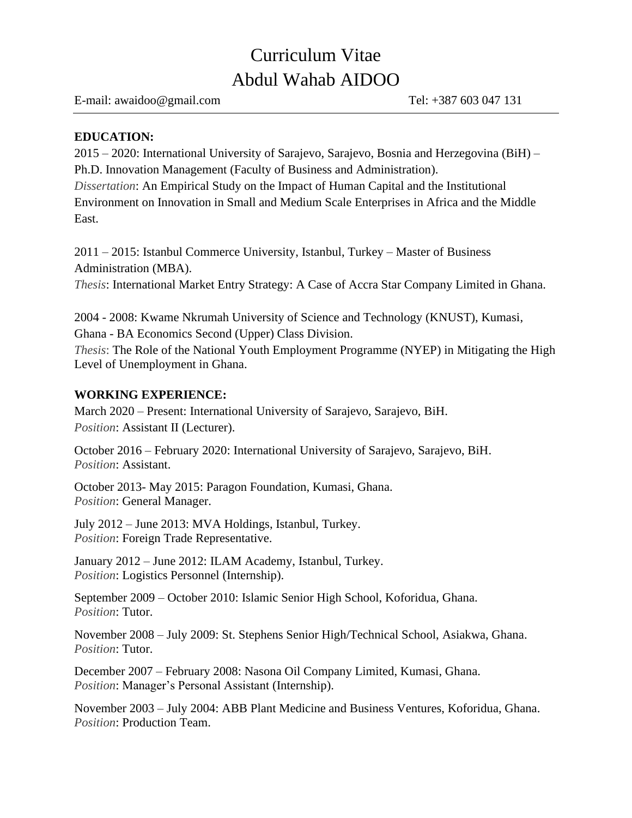# Curriculum Vitae Abdul Wahab AIDOO

E-mail: [awaidoo@gmail.com](mailto:awaidoo@gmail.com) Tel: +387 603 047 131

# **EDUCATION:**

2015 – 2020: International University of Sarajevo, Sarajevo, Bosnia and Herzegovina (BiH) – Ph.D. Innovation Management (Faculty of Business and Administration).

*Dissertation*: An Empirical Study on the Impact of Human Capital and the Institutional Environment on Innovation in Small and Medium Scale Enterprises in Africa and the Middle East.

2011 – 2015: Istanbul Commerce University, Istanbul, Turkey – Master of Business Administration (MBA).

*Thesis*: International Market Entry Strategy: A Case of Accra Star Company Limited in Ghana.

2004 - 2008: Kwame Nkrumah University of Science and Technology (KNUST), Kumasi, Ghana - BA Economics Second (Upper) Class Division. *Thesis*: The Role of the National Youth Employment Programme (NYEP) in Mitigating the High Level of Unemployment in Ghana.

## **WORKING EXPERIENCE:**

March 2020 – Present: International University of Sarajevo, Sarajevo, BiH. *Position*: Assistant II (Lecturer).

October 2016 – February 2020: International University of Sarajevo, Sarajevo, BiH. *Position*: Assistant.

October 2013- May 2015: Paragon Foundation, Kumasi, Ghana. *Position*: General Manager.

July 2012 – June 2013: MVA Holdings, Istanbul, Turkey. *Position*: Foreign Trade Representative.

January 2012 – June 2012: ILAM Academy, Istanbul, Turkey. *Position*: Logistics Personnel (Internship).

September 2009 – October 2010: Islamic Senior High School, Koforidua, Ghana. *Position*: Tutor.

November 2008 – July 2009: St. Stephens Senior High/Technical School, Asiakwa, Ghana. *Position*: Tutor.

December 2007 – February 2008: Nasona Oil Company Limited, Kumasi, Ghana. *Position*: Manager's Personal Assistant (Internship).

November 2003 – July 2004: ABB Plant Medicine and Business Ventures, Koforidua, Ghana. *Position*: Production Team.